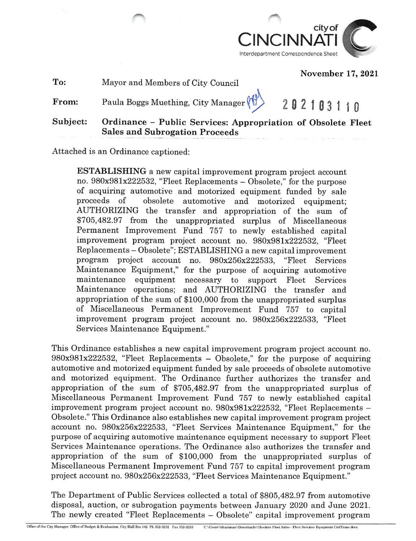

November 17, 2021

To: Mayor and Members of City Council

From: Paula Boggs Muething, City Manager  $\binom{N}{2}$  202103110

Subject: Ordinance - Public Services: Appropriation of Obsolete Fleet Sales and Subrogation Proceeds

Attached is an Ordinance captioned:

ESTABLISHING a new capital improvement program project account no. 980x981x222532, "Fleet Replacements - Obsolete," for the purpose of acquiring automotive and motorized equipment funded by sale proceeds of obsolete automotive and motorized equipment; AUTHORIZING the transfer and appropriation of the sum of \$705,482.97 from the unappropriated surplus of Miscellaneous Permanent Improvement Fund 757 to newly established capital improvement program project account no. 980x981x222532, "Fleet Replacements - Obsolete"; ESTABLISHING a new capital improvement program project account no. 980x256x222533, "Fleet Services Maintenance Equipment," for the purpose of acquiring automotive maintenance equipment necessary to support Fleet Services Maintenance operations; and AUTHORIZING the transfer and appropriation of the sum of \$100,000 from the unappropriated surplus of Miscellaneous Permanent Improvement Fund 757 to capital improvement program project account no. 980x256x222533, "Fleet Services Maintenance Equipment."

This Ordinance establishes a new capital improvement program project account no.  $980x981x222532$ , "Fleet Replacements - Obsolete," for the purpose of acquiring automotive and motorized equipment funded by sale proceeds of obsolete automotive and motorized equipment. The Ordinance further authorizes the transfer and appropriation of the sum of \$705,482.97 from the unappropriated surplus of Miscellaneous Permanent Improvement Fund 757 to newly established capital improvement program project account no. 980x981x222532, "Fleet Replacements - Obsolete." This Ordinance also establishes new capital improvement program project account no. 980x256x222533, "Fleet Services Maintenance Equipment," for the purpose of acquiring automotive maintenance equipment necessary to support Fleet Services Maintenance operations. The Ordinance also authorizes the transfer and appropriation of the sum of \$100,000 from the unappropriated surplus of Miscellaneous Permanent Improvement Fund 757 to capital improvement program project account no. 980x256x222533, "Fleet Services Maintenance Equipment."

The Department of Public Services collected a total of \$805,482.97 from automotive disposal, auction, or subrogation payments between January 2020 and June 2021. The newly created "Fleet Replacements — Obsolete" capital improvement program